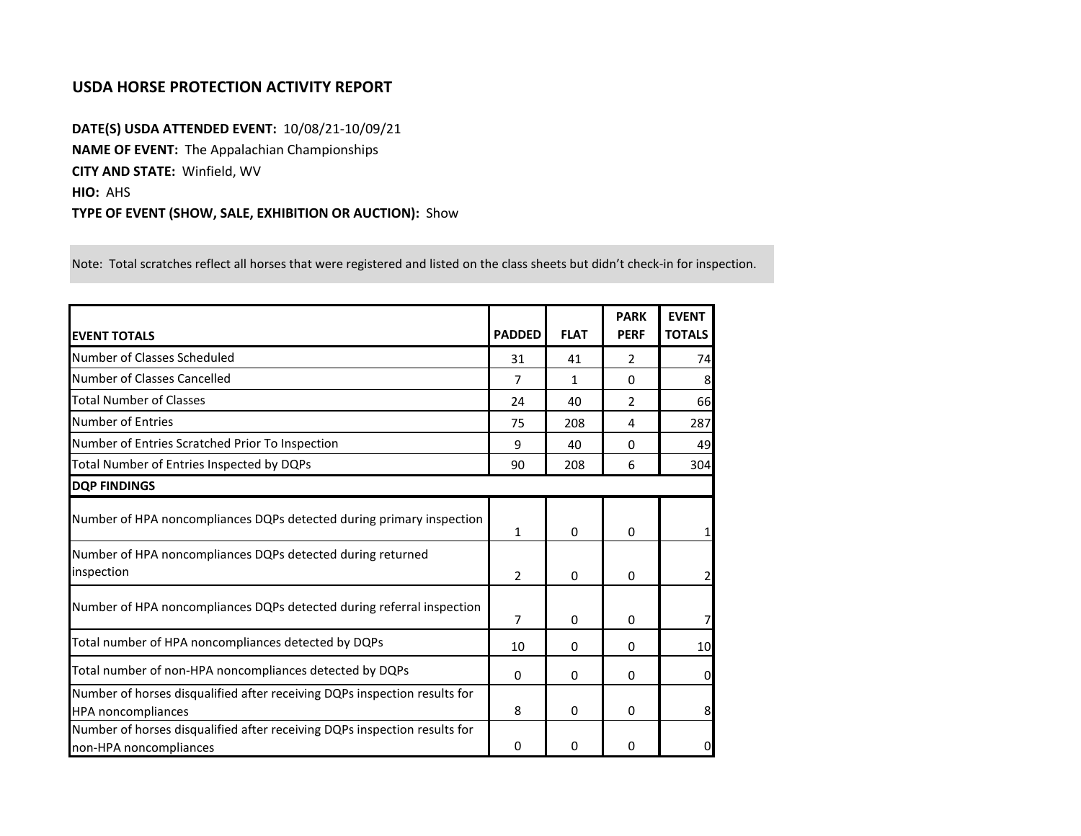## **USDA HORSE PROTECTION ACTIVITY REPORT**

**DATE(S) USDA ATTENDED EVENT:** 10/08/21-10/09/21 **NAME OF EVENT:** The Appalachian Championships **CITY AND STATE:** Winfield, WV **HIO:** AHS **TYPE OF EVENT (SHOW, SALE, EXHIBITION OR AUCTION):** Show

Note: Total scratches reflect all horses that were registered and listed on the class sheets but didn't check-in for inspection.

| <b>EVENT TOTALS</b>                                                                                    | <b>PADDED</b>  | <b>FLAT</b> | <b>PARK</b><br><b>PERF</b> | <b>EVENT</b><br><b>TOTALS</b> |
|--------------------------------------------------------------------------------------------------------|----------------|-------------|----------------------------|-------------------------------|
| Number of Classes Scheduled                                                                            | 31             | 41          | $\mathcal{P}$              | 74                            |
| Number of Classes Cancelled                                                                            | 7              | 1           | $\Omega$                   | 8                             |
| <b>Total Number of Classes</b>                                                                         | 24             | 40          | $\overline{2}$             | 66                            |
| Number of Entries                                                                                      | 75             | 208         | 4                          | 287                           |
| Number of Entries Scratched Prior To Inspection                                                        | 9              | 40          | 0                          | 49                            |
| Total Number of Entries Inspected by DQPs                                                              | 90             | 208         | 6                          | 304                           |
| <b>DQP FINDINGS</b>                                                                                    |                |             |                            |                               |
| Number of HPA noncompliances DQPs detected during primary inspection                                   | $\mathbf{1}$   | 0           | 0                          |                               |
| Number of HPA noncompliances DQPs detected during returned<br>inspection                               | $\overline{2}$ | 0           | 0                          | 2                             |
| Number of HPA noncompliances DQPs detected during referral inspection                                  | 7              | 0           | 0                          |                               |
| Total number of HPA noncompliances detected by DQPs                                                    | 10             | 0           | $\Omega$                   | 10                            |
| Total number of non-HPA noncompliances detected by DQPs                                                | 0              | 0           | 0                          | $\Omega$                      |
| Number of horses disqualified after receiving DQPs inspection results for<br><b>HPA</b> noncompliances | 8              | 0           | $\Omega$                   | 8                             |
| Number of horses disqualified after receiving DQPs inspection results for<br>non-HPA noncompliances    | 0              | 0           | 0                          | $\overline{0}$                |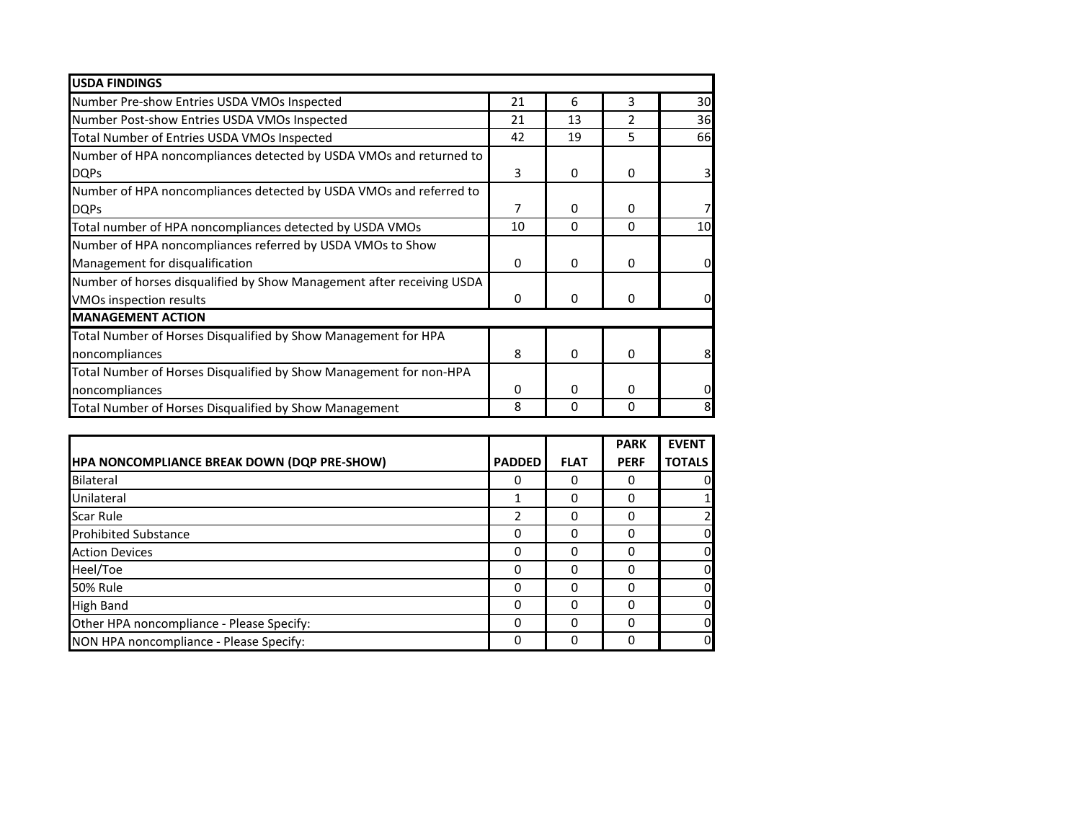| <b>USDA FINDINGS</b>                                                  |          |              |               |    |
|-----------------------------------------------------------------------|----------|--------------|---------------|----|
| Number Pre-show Entries USDA VMOs Inspected                           | 21       | 6            | 3             | 30 |
| Number Post-show Entries USDA VMOs Inspected                          | 21       | 13           | $\mathcal{P}$ | 36 |
| Total Number of Entries USDA VMOs Inspected                           | 42       | 19           | 5             | 66 |
| Number of HPA noncompliances detected by USDA VMOs and returned to    |          |              |               |    |
| <b>DQPs</b>                                                           | 3        | $\mathbf{0}$ | $\Omega$      |    |
| Number of HPA noncompliances detected by USDA VMOs and referred to    |          |              |               |    |
| <b>DQPs</b>                                                           | 7        | 0            | 0             |    |
| Total number of HPA noncompliances detected by USDA VMOs              | 10       | 0            | $\Omega$      | 10 |
| Number of HPA noncompliances referred by USDA VMOs to Show            |          |              |               |    |
| Management for disqualification                                       | 0        | 0            | $\Omega$      |    |
| Number of horses disqualified by Show Management after receiving USDA |          |              |               |    |
| VMOs inspection results                                               | 0        | $\mathbf{0}$ | $\Omega$      |    |
| <b>MANAGEMENT ACTION</b>                                              |          |              |               |    |
| Total Number of Horses Disqualified by Show Management for HPA        |          |              |               |    |
| noncompliances                                                        | 8        | $\Omega$     | $\Omega$      | 8  |
| Total Number of Horses Disqualified by Show Management for non-HPA    |          |              |               |    |
| noncompliances                                                        | $\Omega$ | 0            | $\Omega$      |    |
| Total Number of Horses Disqualified by Show Management                | 8        | 0            | 0             |    |

|                                             |               |             | <b>PARK</b> | <b>EVENT</b>   |
|---------------------------------------------|---------------|-------------|-------------|----------------|
| HPA NONCOMPLIANCE BREAK DOWN (DQP PRE-SHOW) | <b>PADDED</b> | <b>FLAT</b> | <b>PERF</b> | <b>TOTALS</b>  |
| Bilateral                                   | 0             | 0           | O           | 0              |
| Unilateral                                  |               | $\Omega$    | ი           |                |
| Scar Rule                                   | 2             | 0           | O           |                |
| <b>Prohibited Substance</b>                 | 0             | 0           | 0           | 0              |
| <b>Action Devices</b>                       | 0             | 0           |             | 0              |
| Heel/Toe                                    | 0             | 0           |             | 0              |
| <b>50% Rule</b>                             | 0             | $\Omega$    | ი           | $\mathbf 0$    |
| <b>High Band</b>                            | 0             | $\Omega$    | ი           | $\mathbf 0$    |
| Other HPA noncompliance - Please Specify:   | 0             | $\Omega$    |             | $\mathbf 0$    |
| NON HPA noncompliance - Please Specify:     | 0             | 0           |             | $\overline{0}$ |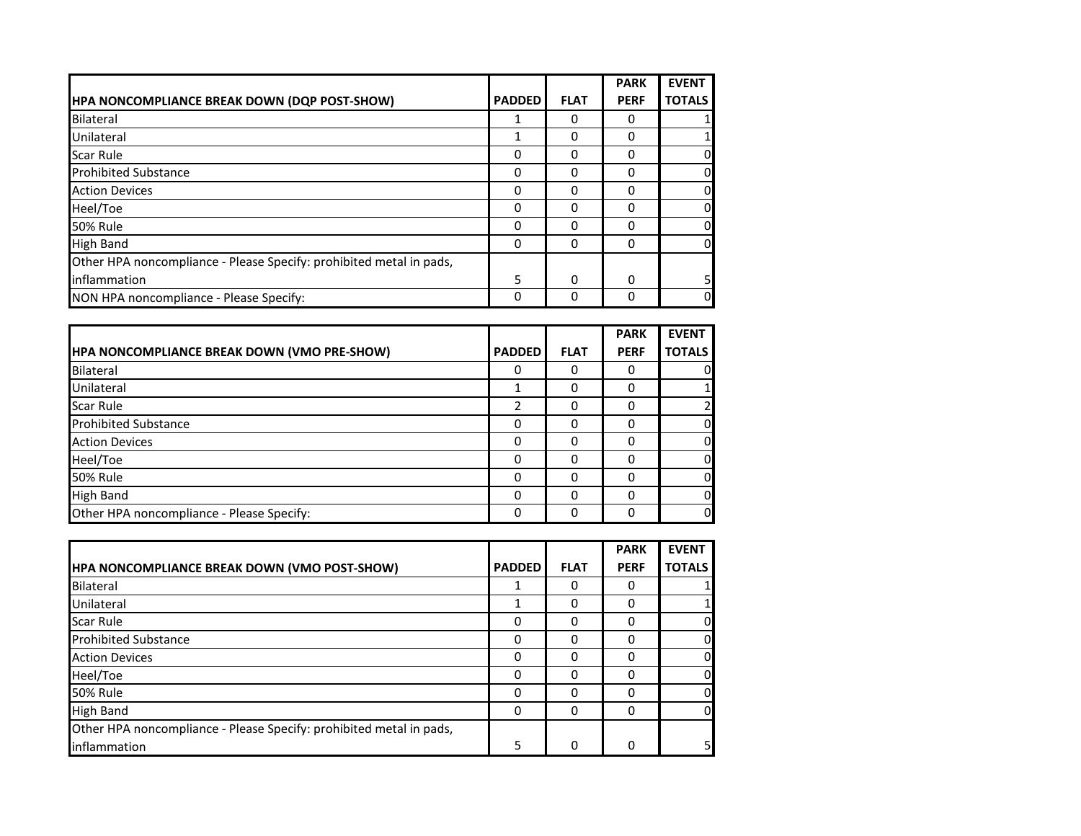|                                                                     |               |             | <b>PARK</b> | <b>EVENT</b>  |
|---------------------------------------------------------------------|---------------|-------------|-------------|---------------|
| <b>HPA NONCOMPLIANCE BREAK DOWN (DQP POST-SHOW)</b>                 | <b>PADDED</b> | <b>FLAT</b> | <b>PERF</b> | <b>TOTALS</b> |
| <b>Bilateral</b>                                                    |               | 0           | $\Omega$    |               |
| Unilateral                                                          |               | 0           | 0           |               |
| <b>Scar Rule</b>                                                    | 0             | 0           | 0           | 0             |
| <b>Prohibited Substance</b>                                         | 0             | 0           | 0           | 0             |
| <b>Action Devices</b>                                               | 0             | 0           | $\Omega$    | 0l            |
| Heel/Toe                                                            | 0             | 0           | 0           | 0             |
| <b>50% Rule</b>                                                     | 0             | $\Omega$    | 0           | $\Omega$      |
| <b>High Band</b>                                                    | 0             | 0           | 0           | $\Omega$      |
| Other HPA noncompliance - Please Specify: prohibited metal in pads, |               |             |             |               |
| inflammation                                                        | 5             | 0           | 0           | 5             |
| NON HPA noncompliance - Please Specify:                             | 0             | 0           | 0           | 0             |

|                                             |               |              | <b>PARK</b> | <b>EVENT</b>  |
|---------------------------------------------|---------------|--------------|-------------|---------------|
| HPA NONCOMPLIANCE BREAK DOWN (VMO PRE-SHOW) | <b>PADDED</b> | <b>FLAT</b>  | <b>PERF</b> | <b>TOTALS</b> |
| <b>Bilateral</b>                            | 0             | 0            |             |               |
| Unilateral                                  |               | 0            |             |               |
| <b>Scar Rule</b>                            |               | <sup>0</sup> |             |               |
| <b>Prohibited Substance</b>                 | 0             | <sup>0</sup> |             |               |
| <b>Action Devices</b>                       | 0             | O            |             |               |
| Heel/Toe                                    | $\Omega$      | <sup>0</sup> |             |               |
| <b>50% Rule</b>                             | 0             | 0            |             |               |
| <b>High Band</b>                            | $\Omega$      | <sup>0</sup> |             |               |
| Other HPA noncompliance - Please Specify:   | 0             | 0            |             |               |

|                                                                     |               |             | <b>PARK</b> | <b>EVENT</b>  |
|---------------------------------------------------------------------|---------------|-------------|-------------|---------------|
| <b>HPA NONCOMPLIANCE BREAK DOWN (VMO POST-SHOW)</b>                 | <b>PADDED</b> | <b>FLAT</b> | <b>PERF</b> | <b>TOTALS</b> |
| Bilateral                                                           |               | 0           |             |               |
| Unilateral                                                          |               | 0           | 0           |               |
| <b>Scar Rule</b>                                                    | 0             | 0           | Ω           | $\Omega$      |
| <b>Prohibited Substance</b>                                         | 0             | 0           | 0           | $\Omega$      |
| <b>Action Devices</b>                                               | 0             | O           | Ω           | <sub>0</sub>  |
| Heel/Toe                                                            | 0             | 0           |             | 0             |
| <b>50% Rule</b>                                                     | 0             | 0           |             | <sub>0</sub>  |
| <b>High Band</b>                                                    | 0             | 0           | 0           | 0             |
| Other HPA noncompliance - Please Specify: prohibited metal in pads, |               |             |             |               |
| inflammation                                                        | 5             | 0           | 0           | 5             |